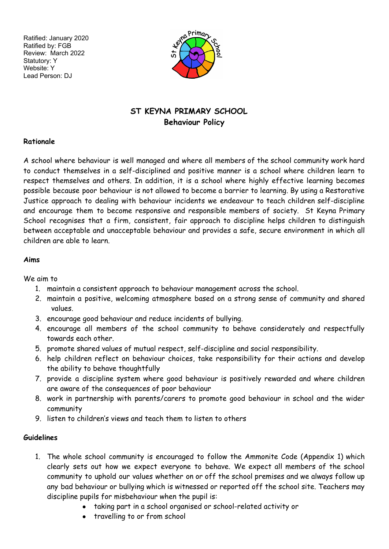Ratified: January 2020 Ratified by: FGB Review: March 2022 Statutory: Y Website: Y Lead Person: DJ



#### **ST KEYNA PRIMARY SCHOOL Behaviour Policy**

#### **Rationale**

A school where behaviour is well managed and where all members of the school community work hard to conduct themselves in a self-disciplined and positive manner is a school where children learn to respect themselves and others. In addition, it is a school where highly effective learning becomes possible because poor behaviour is not allowed to become a barrier to learning. By using a Restorative Justice approach to dealing with behaviour incidents we endeavour to teach children self-discipline and encourage them to become responsive and responsible members of society. St Keyna Primary School recognises that a firm, consistent, fair approach to discipline helps children to distinguish between acceptable and unacceptable behaviour and provides a safe, secure environment in which all children are able to learn.

#### **Aims**

We aim to

- 1. maintain a consistent approach to behaviour management across the school.
- 2. maintain a positive, welcoming atmosphere based on a strong sense of community and shared values.
- 3. encourage good behaviour and reduce incidents of bullying.
- 4. encourage all members of the school community to behave considerately and respectfully towards each other.
- 5. promote shared values of mutual respect, self-discipline and social responsibility.
- 6. help children reflect on behaviour choices, take responsibility for their actions and develop the ability to behave thoughtfully
- 7. provide a discipline system where good behaviour is positively rewarded and where children are aware of the consequences of poor behaviour
- 8. work in partnership with parents/carers to promote good behaviour in school and the wider community
- 9. listen to children's views and teach them to listen to others

#### **Guidelines**

- 1. The whole school community is encouraged to follow the Ammonite Code (Appendix 1) which clearly sets out how we expect everyone to behave. We expect all members of the school community to uphold our values whether on or off the school premises and we always follow up any bad behaviour or bullying which is witnessed or reported off the school site. Teachers may discipline pupils for misbehaviour when the pupil is:
	- taking part in a school organised or school-related activity or
	- travelling to or from school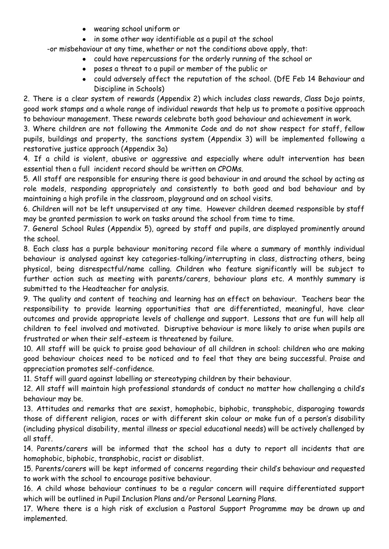- wearing school uniform or
- in some other way identifiable as a pupil at the school

-or misbehaviour at any time, whether or not the conditions above apply, that:

- could have repercussions for the orderly running of the school or
- poses a threat to a pupil or member of the public or
- could adversely affect the reputation of the school. (DfE Feb 14 Behaviour and Discipline in Schools)

2. There is a clear system of rewards (Appendix 2) which includes class rewards, Class Dojo points, good work stamps and a whole range of individual rewards that help us to promote a positive approach to behaviour management. These rewards celebrate both good behaviour and achievement in work.

3. Where children are not following the Ammonite Code and do not show respect for staff, fellow pupils, buildings and property, the sanctions system (Appendix 3) will be implemented following a restorative justice approach (Appendix 3a)

4. If a child is violent, abusive or aggressive and especially where adult intervention has been essential then a full incident record should be written on CPOMs.

5. All staff are responsible for ensuring there is good behaviour in and around the school by acting as role models, responding appropriately and consistently to both good and bad behaviour and by maintaining a high profile in the classroom, playground and on school visits.

6. Children will not be left unsupervised at any time. However children deemed responsible by staff may be granted permission to work on tasks around the school from time to time.

7. General School Rules (Appendix 5), agreed by staff and pupils, are displayed prominently around the school.

8. Each class has a purple behaviour monitoring record file where a summary of monthly individual behaviour is analysed against key categories-talking/interrupting in class, distracting others, being physical, being disrespectful/name calling. Children who feature significantly will be subject to further action such as meeting with parents/carers, behaviour plans etc. A monthly summary is submitted to the Headteacher for analysis.

9. The quality and content of teaching and learning has an effect on behaviour. Teachers bear the responsibility to provide learning opportunities that are differentiated, meaningful, have clear outcomes and provide appropriate levels of challenge and support. Lessons that are fun will help all children to feel involved and motivated. Disruptive behaviour is more likely to arise when pupils are frustrated or when their self-esteem is threatened by failure.

10. All staff will be quick to praise good behaviour of all children in school: children who are making good behaviour choices need to be noticed and to feel that they are being successful. Praise and appreciation promotes self-confidence.

11. Staff will guard against labelling or stereotyping children by their behaviour.

12. All staff will maintain high professional standards of conduct no matter how challenging a child's behaviour may be.

13. Attitudes and remarks that are sexist, homophobic, biphobic, transphobic, disparaging towards those of different religion, races or with different skin colour or make fun of a person's disability (including physical disability, mental illness or special educational needs) will be actively challenged by all staff.

14. Parents/carers will be informed that the school has a duty to report all incidents that are homophobic, biphobic, transphobic, racist or disablist.

15. Parents/carers will be kept informed of concerns regarding their child's behaviour and requested to work with the school to encourage positive behaviour.

16. A child whose behaviour continues to be a regular concern will require differentiated support which will be outlined in Pupil Inclusion Plans and/or Personal Learning Plans.

17. Where there is a high risk of exclusion a Pastoral Support Programme may be drawn up and implemented.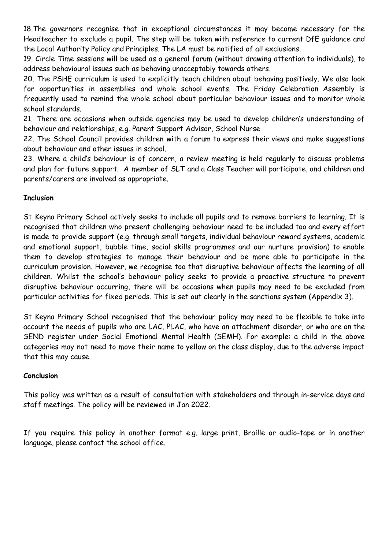18.The governors recognise that in exceptional circumstances it may become necessary for the Headteacher to exclude a pupil. The step will be taken with reference to current DfE guidance and the Local Authority Policy and Principles. The LA must be notified of all exclusions.

19. Circle Time sessions will be used as a general forum (without drawing attention to individuals), to address behavioural issues such as behaving unacceptably towards others.

20. The PSHE curriculum is used to explicitly teach children about behaving positively. We also look for opportunities in assemblies and whole school events. The Friday Celebration Assembly is frequently used to remind the whole school about particular behaviour issues and to monitor whole school standards.

21. There are occasions when outside agencies may be used to develop children's understanding of behaviour and relationships, e.g. Parent Support Advisor, School Nurse.

22. The School Council provides children with a forum to express their views and make suggestions about behaviour and other issues in school.

23. Where a child's behaviour is of concern, a review meeting is held regularly to discuss problems and plan for future support. A member of SLT and a Class Teacher will participate, and children and parents/carers are involved as appropriate.

#### **Inclusion**

St Keyna Primary School actively seeks to include all pupils and to remove barriers to learning. It is recognised that children who present challenging behaviour need to be included too and every effort is made to provide support (e.g. through small targets, individual behaviour reward systems, academic and emotional support, bubble time, social skills programmes and our nurture provision) to enable them to develop strategies to manage their behaviour and be more able to participate in the curriculum provision. However, we recognise too that disruptive behaviour affects the learning of all children. Whilst the school's behaviour policy seeks to provide a proactive structure to prevent disruptive behaviour occurring, there will be occasions when pupils may need to be excluded from particular activities for fixed periods. This is set out clearly in the sanctions system (Appendix 3).

St Keyna Primary School recognised that the behaviour policy may need to be flexible to take into account the needs of pupils who are LAC, PLAC, who have an attachment disorder, or who are on the SEND register under Social Emotional Mental Health (SEMH). For example: a child in the above categories may not need to move their name to yellow on the class display, due to the adverse impact that this may cause.

#### **Conclusion**

This policy was written as a result of consultation with stakeholders and through in-service days and staff meetings. The policy will be reviewed in Jan 2022.

If you require this policy in another format e.g. large print, Braille or audio-tape or in another language, please contact the school office.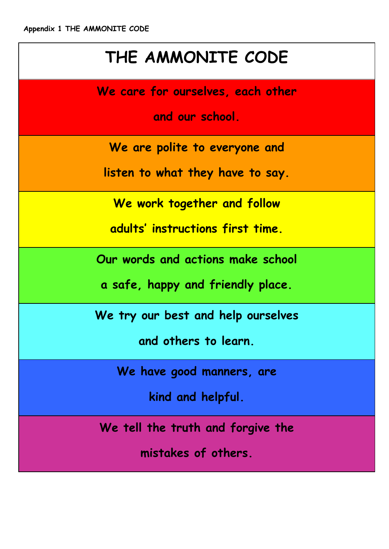## **THE AMMONITE CODE**

**We care for ourselves, each other**

**and our school.**

**We are polite to everyone and**

**listen to what they have to say.**

**We work together and follow**

**adults' instructions first time.**

**Our words and actions make school**

**a safe, happy and friendly place.**

**We try our best and help ourselves**

**and others to learn.**

**We have good manners, are**

**kind and helpful.**

**We tell the truth and forgive the**

**mistakes of others.**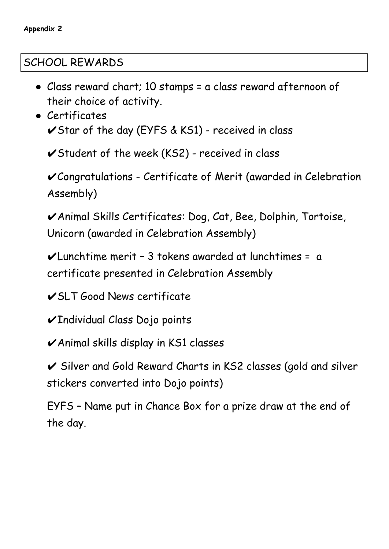### SCHOOL REWARDS

- Class reward chart; 10 stamps = a class reward afternoon of their choice of activity.
- Certificates  $\checkmark$ Star of the day (EYFS & KS1) - received in class

 $\checkmark$ Student of the week (KS2) - received in class

✔Congratulations - Certificate of Merit (awarded in Celebration Assembly)

✔Animal Skills Certificates: Dog, Cat, Bee, Dolphin, Tortoise, Unicorn (awarded in Celebration Assembly)

 $\nu$ Lunchtime merit - 3 tokens awarded at lunchtimes = a certificate presented in Celebration Assembly

✔SLT Good News certificate

✔Individual Class Dojo points

✔Animal skills display in KS1 classes

✔ Silver and Gold Reward Charts in KS2 classes (gold and silver stickers converted into Dojo points)

EYFS – Name put in Chance Box for a prize draw at the end of the day.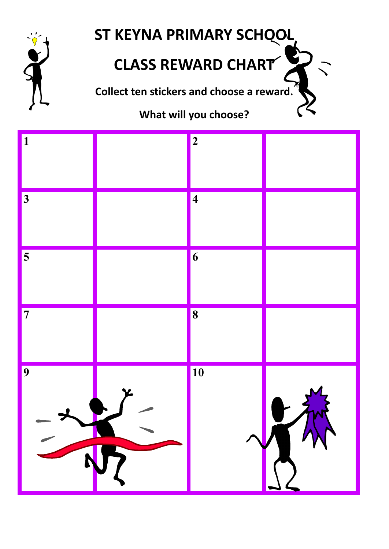

# **ST KEYNA PRIMARY SCHOOL**

# **CLASS REWARD CHART**

**Collect ten stickers and choose a reward.**

## **What will you choose?**

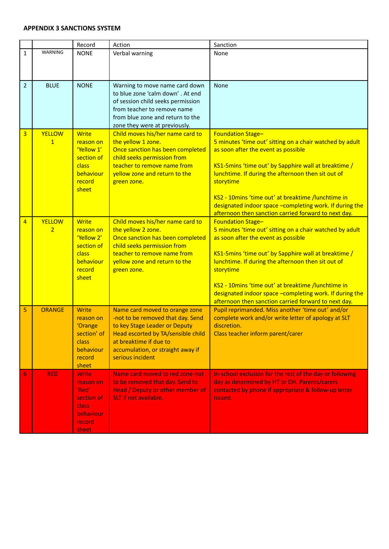#### **APPENDIX 3 SANCTIONS SYSTEM**

|                |                | Record                    | Action                                                              | Sanction                                                                                                   |
|----------------|----------------|---------------------------|---------------------------------------------------------------------|------------------------------------------------------------------------------------------------------------|
| 1              | <b>WARNING</b> | <b>NONE</b>               | Verbal warning                                                      | None                                                                                                       |
|                |                |                           |                                                                     |                                                                                                            |
|                |                |                           |                                                                     |                                                                                                            |
| $\overline{2}$ | <b>BLUE</b>    | <b>NONE</b>               | Warning to move name card down                                      | None                                                                                                       |
|                |                |                           | to blue zone 'calm down'. At end                                    |                                                                                                            |
|                |                |                           | of session child seeks permission                                   |                                                                                                            |
|                |                |                           | from teacher to remove name                                         |                                                                                                            |
|                |                |                           | from blue zone and return to the<br>zone they were at previously.   |                                                                                                            |
| 3              | <b>YELLOW</b>  | <b>Write</b>              | Child moves his/her name card to                                    | <b>Foundation Stage-</b>                                                                                   |
|                | $\overline{1}$ | reason on                 | the yellow 1 zone.                                                  | 5 minutes 'time out' sitting on a chair watched by adult                                                   |
|                |                | 'Yellow 1'                | Once sanction has been completed                                    | as soon after the event as possible                                                                        |
|                |                | section of                | child seeks permission from                                         |                                                                                                            |
|                |                | class<br>behaviour        | teacher to remove name from<br>yellow zone and return to the        | KS1-5mins 'time out' by Sapphire wall at breaktime /<br>lunchtime. If during the afternoon then sit out of |
|                |                | record                    | green zone.                                                         | storytime                                                                                                  |
|                |                | sheet                     |                                                                     |                                                                                                            |
|                |                |                           |                                                                     | KS2 - 10mins 'time out' at breaktime /lunchtime in                                                         |
|                |                |                           |                                                                     | designated indoor space -completing work. If during the                                                    |
|                | <b>YELLOW</b>  | <b>Write</b>              |                                                                     | afternoon then sanction carried forward to next day.                                                       |
| 4              | $\overline{2}$ | reason on                 | Child moves his/her name card to<br>the yellow 2 zone.              | <b>Foundation Stage-</b><br>5 minutes 'time out' sitting on a chair watched by adult                       |
|                |                | 'Yellow 2'                | Once sanction has been completed                                    | as soon after the event as possible                                                                        |
|                |                | section of                | child seeks permission from                                         |                                                                                                            |
|                |                | class                     | teacher to remove name from                                         | KS1-5mins 'time out' by Sapphire wall at breaktime /                                                       |
|                |                | behaviour                 | yellow zone and return to the                                       | lunchtime. If during the afternoon then sit out of                                                         |
|                |                | record<br>sheet           | green zone.                                                         | storytime                                                                                                  |
|                |                |                           |                                                                     | KS2 - 10mins 'time out' at breaktime /lunchtime in                                                         |
|                |                |                           |                                                                     | designated indoor space -completing work. If during the                                                    |
|                |                |                           |                                                                     | afternoon then sanction carried forward to next day.                                                       |
| 5              | <b>ORANGE</b>  | <b>Write</b><br>reason on | Name card moved to orange zone<br>-not to be removed that day. Send | Pupil reprimanded. Miss another 'time out' and/or<br>complete work and/or write letter of apology at SLT   |
|                |                | 'Orange                   | to key Stage Leader or Deputy                                       | discretion.                                                                                                |
|                |                | section' of               | Head escorted by TA/sensible child                                  | Class teacher inform parent/carer                                                                          |
|                |                | class                     | at breaktime if due to                                              |                                                                                                            |
|                |                | behaviour                 | accumulation, or straight away if                                   |                                                                                                            |
|                |                | record<br>sheet           | serious incident                                                    |                                                                                                            |
| 6              | <b>RED</b>     | <b>Write</b>              | Name card moved to red zone-not                                     | In-school exclusion for the rest of the day or following                                                   |
|                |                | reason on                 | to be removed that day. Send to                                     | day as determined by HT or DH. Parents/carers                                                              |
|                |                | 'Red'                     | Head / Deputy or other member of                                    | contacted by phone if appropriate & follow-up letter                                                       |
|                |                | section of                | SLT if not available.                                               | issued.                                                                                                    |
|                |                | class                     |                                                                     |                                                                                                            |
|                |                | behaviour<br>record       |                                                                     |                                                                                                            |
|                |                | sheet                     |                                                                     |                                                                                                            |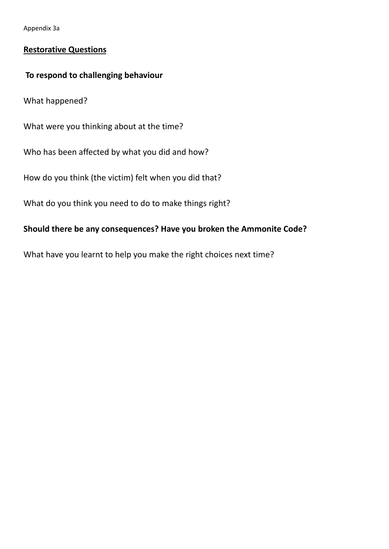Appendix 3a

#### **Restorative Questions**

#### **To respond to challenging behaviour**

What happened?

What were you thinking about at the time?

Who has been affected by what you did and how?

How do you think (the victim) felt when you did that?

What do you think you need to do to make things right?

#### **Should there be any consequences? Have you broken the Ammonite Code?**

What have you learnt to help you make the right choices next time?